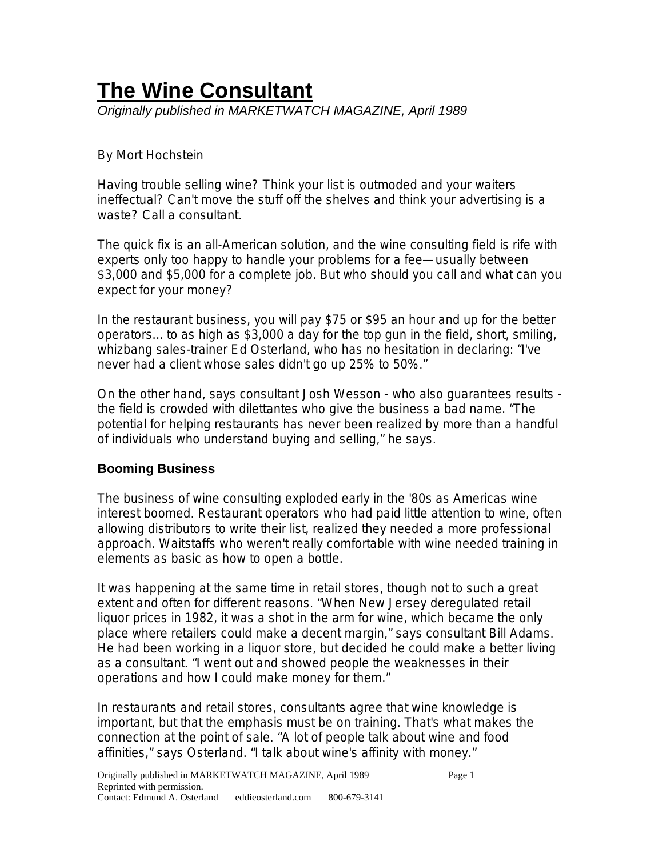# **The Wine Consultant** *Originally published in MARKETWATCH MAGAZINE, April 1989*

## By Mort Hochstein

Having trouble selling wine? Think your list is outmoded and your waiters ineffectual? Can't move the stuff off the shelves and think your advertising is a waste? Call a consultant.

The quick fix is an all-American solution, and the wine consulting field is rife with experts only too happy to handle your problems for a fee—usually between \$3,000 and \$5,000 for a complete job. But who should you call and what can you expect for your money?

In the restaurant business, you will pay \$75 or \$95 an hour and up for the better operators... to as high as \$3,000 a day for the top gun in the field, short, smiling, whizbang sales-trainer Ed Osterland, who has no hesitation in declaring: "I've never had a client whose sales didn't go up 25% to 50%."

On the other hand, says consultant Josh Wesson - who also guarantees results the field is crowded with dilettantes who give the business a bad name. "The potential for helping restaurants has never been realized by more than a handful of individuals who understand buying and selling," he says.

### **Booming Business**

The business of wine consulting exploded early in the '80s as Americas wine interest boomed. Restaurant operators who had paid little attention to wine, often allowing distributors to write their list, realized they needed a more professional approach. Waitstaffs who weren't really comfortable with wine needed training in elements as basic as how to open a bottle.

It was happening at the same time in retail stores, though not to such a great extent and often for different reasons. "When New Jersey deregulated retail liquor prices in 1982, it was a shot in the arm for wine, which became the only place where retailers could make a decent margin," says consultant Bill Adams. He had been working in a liquor store, but decided he could make a better living as a consultant. "I went out and showed people the weaknesses in their operations and how I could make money for them."

In restaurants and retail stores, consultants agree that wine knowledge is important, but that the emphasis must be on training. That's what makes the connection at the point of sale. "A lot of people talk about wine and food affinities," says Osterland. "I talk about wine's affinity with money."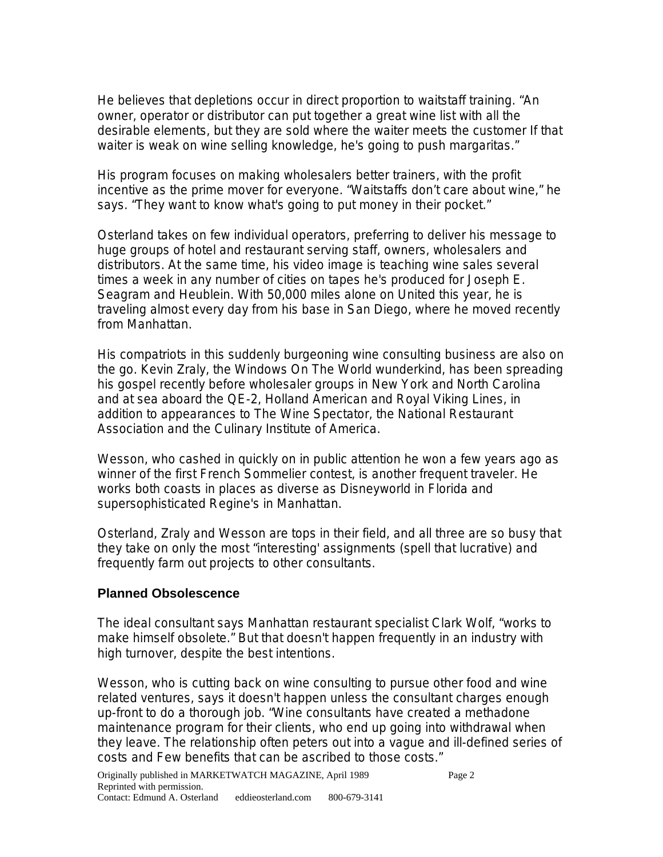He believes that depletions occur in direct proportion to waitstaff training. "An owner, operator or distributor can put together a great wine list with all the desirable elements, but they are sold where the waiter meets the customer If that waiter is weak on wine selling knowledge, he's going to push margaritas."

His program focuses on making wholesalers better trainers, with the profit incentive as the prime mover for everyone. "Waitstaffs don't care about wine," he says. "They want to know what's going to put money in their pocket."

Osterland takes on few individual operators, preferring to deliver his message to huge groups of hotel and restaurant serving staff, owners, wholesalers and distributors. At the same time, his video image is teaching wine sales several times a week in any number of cities on tapes he's produced for Joseph E. Seagram and Heublein. With 50,000 miles alone on United this year, he is traveling almost every day from his base in San Diego, where he moved recently from Manhattan.

His compatriots in this suddenly burgeoning wine consulting business are also on the go. Kevin Zraly, the Windows On The World wunderkind, has been spreading his gospel recently before wholesaler groups in New York and North Carolina and at sea aboard the QE-2, Holland American and Royal Viking Lines, in addition to appearances to The Wine Spectator, the National Restaurant Association and the Culinary Institute of America.

Wesson, who cashed in quickly on in public attention he won a few years ago as winner of the first French Sommelier contest, is another frequent traveler. He works both coasts in places as diverse as Disneyworld in Florida and supersophisticated Regine's in Manhattan.

Osterland, Zraly and Wesson are tops in their field, and all three are so busy that they take on only the most "interesting' assignments (spell that lucrative) and frequently farm out projects to other consultants.

#### **Planned Obsolescence**

The ideal consultant says Manhattan restaurant specialist Clark Wolf, "works to make himself obsolete." But that doesn't happen frequently in an industry with high turnover, despite the best intentions.

Wesson, who is cutting back on wine consulting to pursue other food and wine related ventures, says it doesn't happen unless the consultant charges enough up-front to do a thorough job. "Wine consultants have created a methadone maintenance program for their clients, who end up going into withdrawal when they leave. The relationship often peters out into a vague and ill-defined series of costs and Few benefits that can be ascribed to those costs."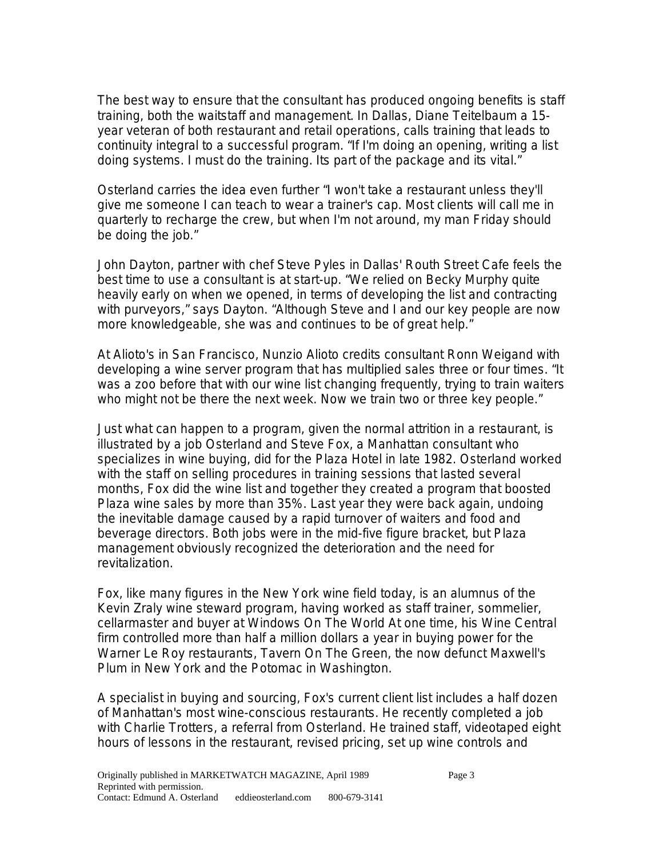The best way to ensure that the consultant has produced ongoing benefits is staff training, both the waitstaff and management. In Dallas, Diane Teitelbaum a 15 year veteran of both restaurant and retail operations, calls training that leads to continuity integral to a successful program. "If I'm doing an opening, writing a list doing systems. I must do the training. Its part of the package and its vital."

Osterland carries the idea even further "I won't take a restaurant unless they'll give me someone I can teach to wear a trainer's cap. Most clients will call me in quarterly to recharge the crew, but when I'm not around, my man Friday should be doing the job."

John Dayton, partner with chef Steve Pyles in Dallas' Routh Street Cafe feels the best time to use a consultant is at start-up. "We relied on Becky Murphy quite heavily early on when we opened, in terms of developing the list and contracting with purveyors," says Dayton. "Although Steve and I and our key people are now more knowledgeable, she was and continues to be of great help."

At Alioto's in San Francisco, Nunzio Alioto credits consultant Ronn Weigand with developing a wine server program that has multiplied sales three or four times. "It was a zoo before that with our wine list changing frequently, trying to train waiters who might not be there the next week. Now we train two or three key people."

Just what can happen to a program, given the normal attrition in a restaurant, is illustrated by a job Osterland and Steve Fox, a Manhattan consultant who specializes in wine buying, did for the Plaza Hotel in late 1982. Osterland worked with the staff on selling procedures in training sessions that lasted several months, Fox did the wine list and together they created a program that boosted Plaza wine sales by more than 35%. Last year they were back again, undoing the inevitable damage caused by a rapid turnover of waiters and food and beverage directors. Both jobs were in the mid-five figure bracket, but Plaza management obviously recognized the deterioration and the need for revitalization.

Fox, like many figures in the New York wine field today, is an alumnus of the Kevin Zraly wine steward program, having worked as staff trainer, sommelier, cellarmaster and buyer at Windows On The World At one time, his Wine Central firm controlled more than half a million dollars a year in buying power for the Warner Le Roy restaurants, Tavern On The Green, the now defunct Maxwell's Plum in New York and the Potomac in Washington.

A specialist in buying and sourcing, Fox's current client list includes a half dozen of Manhattan's most wine-conscious restaurants. He recently completed a job with Charlie Trotters, a referral from Osterland. He trained staff, videotaped eight hours of lessons in the restaurant, revised pricing, set up wine controls and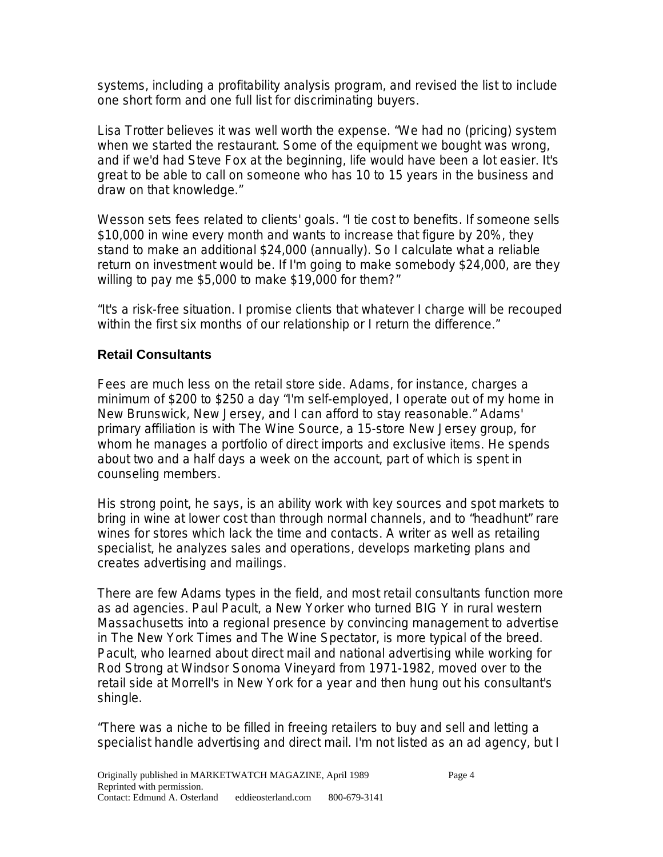systems, including a profitability analysis program, and revised the list to include one short form and one full list for discriminating buyers.

Lisa Trotter believes it was well worth the expense. "We had no (pricing) system when we started the restaurant. Some of the equipment we bought was wrong, and if we'd had Steve Fox at the beginning, life would have been a lot easier. It's great to be able to call on someone who has 10 to 15 years in the business and draw on that knowledge."

Wesson sets fees related to clients' goals. "I tie cost to benefits. If someone sells \$10,000 in wine every month and wants to increase that figure by 20%, they stand to make an additional \$24,000 (annually). So I calculate what a reliable return on investment would be. If I'm going to make somebody \$24,000, are they willing to pay me \$5,000 to make \$19,000 for them?"

"It's a risk-free situation. I promise clients that whatever I charge will be recouped within the first six months of our relationship or I return the difference."

#### **Retail Consultants**

Fees are much less on the retail store side. Adams, for instance, charges a minimum of \$200 to \$250 a day "I'm self-employed, I operate out of my home in New Brunswick, New Jersey, and I can afford to stay reasonable." Adams' primary affiliation is with The Wine Source, a 15-store New Jersey group, for whom he manages a portfolio of direct imports and exclusive items. He spends about two and a half days a week on the account, part of which is spent in counseling members.

His strong point, he says, is an ability work with key sources and spot markets to bring in wine at lower cost than through normal channels, and to "headhunt" rare wines for stores which lack the time and contacts. A writer as well as retailing specialist, he analyzes sales and operations, develops marketing plans and creates advertising and mailings.

There are few Adams types in the field, and most retail consultants function more as ad agencies. Paul Pacult, a New Yorker who turned BIG Y in rural western Massachusetts into a regional presence by convincing management to advertise in The New York Times and The Wine Spectator, is more typical of the breed. Pacult, who learned about direct mail and national advertising while working for Rod Strong at Windsor Sonoma Vineyard from 1971-1982, moved over to the retail side at Morrell's in New York for a year and then hung out his consultant's shingle.

"There was a niche to be filled in freeing retailers to buy and sell and letting a specialist handle advertising and direct mail. I'm not listed as an ad agency, but I